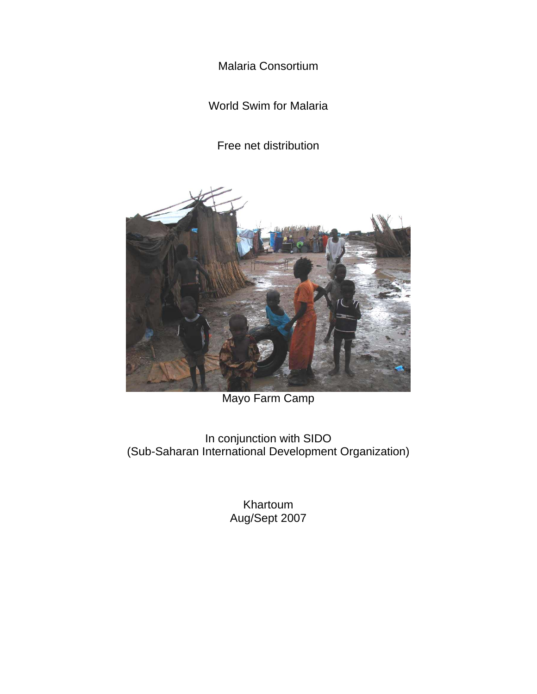Malaria Consortium

World Swim for Malaria

Free net distribution



# Mayo Farm Camp

In conjunction with SIDO (Sub-Saharan International Development Organization)

> Khartoum Aug/Sept 2007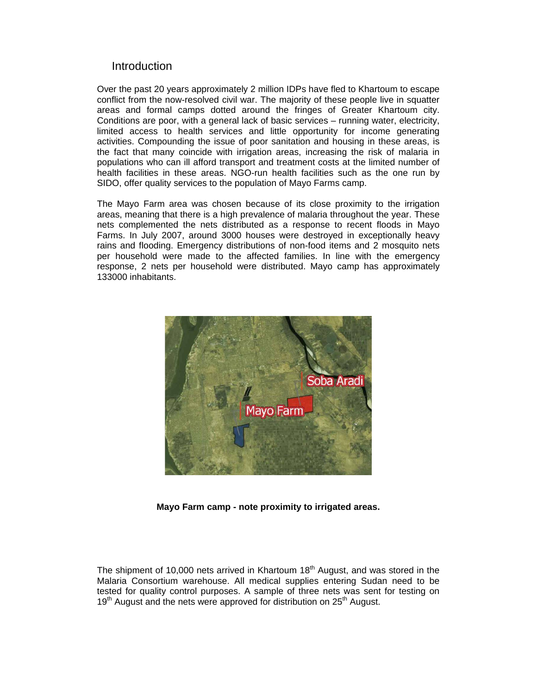#### **Introduction**

Over the past 20 years approximately 2 million IDPs have fled to Khartoum to escape conflict from the now-resolved civil war. The majority of these people live in squatter areas and formal camps dotted around the fringes of Greater Khartoum city. Conditions are poor, with a general lack of basic services – running water, electricity, limited access to health services and little opportunity for income generating activities. Compounding the issue of poor sanitation and housing in these areas, is the fact that many coincide with irrigation areas, increasing the risk of malaria in populations who can ill afford transport and treatment costs at the limited number of health facilities in these areas. NGO-run health facilities such as the one run by SIDO, offer quality services to the population of Mayo Farms camp.

The Mayo Farm area was chosen because of its close proximity to the irrigation areas, meaning that there is a high prevalence of malaria throughout the year. These nets complemented the nets distributed as a response to recent floods in Mayo Farms. In July 2007, around 3000 houses were destroyed in exceptionally heavy rains and flooding. Emergency distributions of non-food items and 2 mosquito nets per household were made to the affected families. In line with the emergency response, 2 nets per household were distributed. Mayo camp has approximately 133000 inhabitants.



**Mayo Farm camp - note proximity to irrigated areas.** 

The shipment of 10,000 nets arrived in Khartoum  $18<sup>th</sup>$  August, and was stored in the Malaria Consortium warehouse. All medical supplies entering Sudan need to be tested for quality control purposes. A sample of three nets was sent for testing on  $19<sup>th</sup>$  August and the nets were approved for distribution on  $25<sup>th</sup>$  August.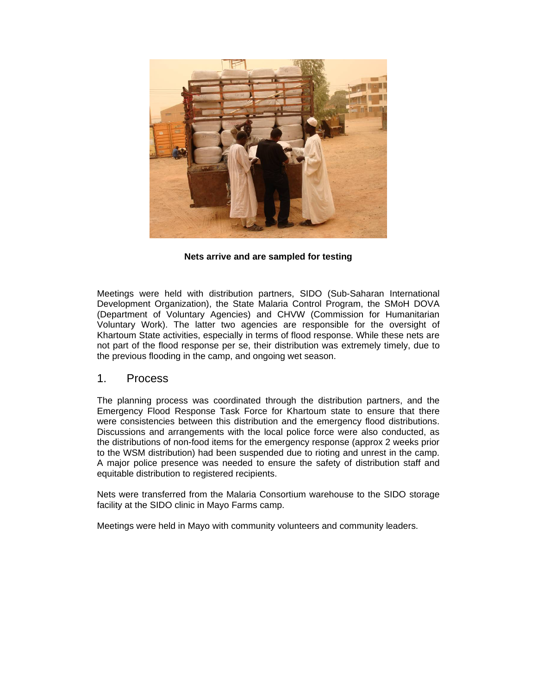

**Nets arrive and are sampled for testing** 

Meetings were held with distribution partners, SIDO (Sub-Saharan International Development Organization), the State Malaria Control Program, the SMoH DOVA (Department of Voluntary Agencies) and CHVW (Commission for Humanitarian Voluntary Work). The latter two agencies are responsible for the oversight of Khartoum State activities, especially in terms of flood response. While these nets are not part of the flood response per se, their distribution was extremely timely, due to the previous flooding in the camp, and ongoing wet season.

#### 1. Process

The planning process was coordinated through the distribution partners, and the Emergency Flood Response Task Force for Khartoum state to ensure that there were consistencies between this distribution and the emergency flood distributions. Discussions and arrangements with the local police force were also conducted, as the distributions of non-food items for the emergency response (approx 2 weeks prior to the WSM distribution) had been suspended due to rioting and unrest in the camp. A major police presence was needed to ensure the safety of distribution staff and equitable distribution to registered recipients.

Nets were transferred from the Malaria Consortium warehouse to the SIDO storage facility at the SIDO clinic in Mayo Farms camp.

Meetings were held in Mayo with community volunteers and community leaders.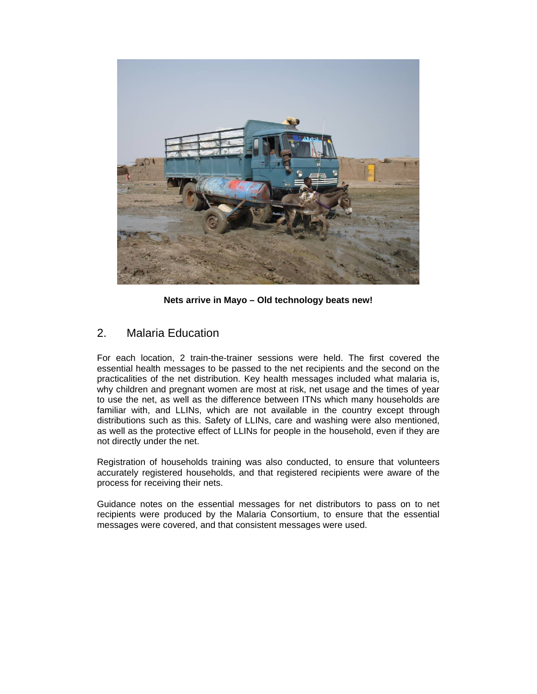

**Nets arrive in Mayo – Old technology beats new!** 

## 2. Malaria Education

For each location, 2 train-the-trainer sessions were held. The first covered the essential health messages to be passed to the net recipients and the second on the practicalities of the net distribution. Key health messages included what malaria is, why children and pregnant women are most at risk, net usage and the times of year to use the net, as well as the difference between ITNs which many households are familiar with, and LLINs, which are not available in the country except through distributions such as this. Safety of LLINs, care and washing were also mentioned, as well as the protective effect of LLINs for people in the household, even if they are not directly under the net.

Registration of households training was also conducted, to ensure that volunteers accurately registered households, and that registered recipients were aware of the process for receiving their nets.

Guidance notes on the essential messages for net distributors to pass on to net recipients were produced by the Malaria Consortium, to ensure that the essential messages were covered, and that consistent messages were used.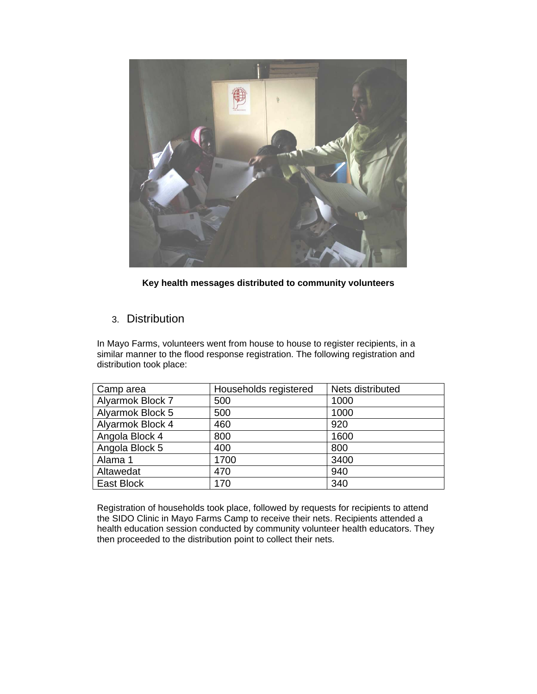

**Key health messages distributed to community volunteers** 

## 3. Distribution

In Mayo Farms, volunteers went from house to house to register recipients, in a similar manner to the flood response registration. The following registration and distribution took place:

| Camp area        | Households registered | Nets distributed |
|------------------|-----------------------|------------------|
| Alyarmok Block 7 | 500                   | 1000             |
| Alyarmok Block 5 | 500                   | 1000             |
| Alyarmok Block 4 | 460                   | 920              |
| Angola Block 4   | 800                   | 1600             |
| Angola Block 5   | 400                   | 800              |
| Alama 1          | 1700                  | 3400             |
| Altawedat        | 470                   | 940              |
| East Block       | 170                   | 340              |

Registration of households took place, followed by requests for recipients to attend the SIDO Clinic in Mayo Farms Camp to receive their nets. Recipients attended a health education session conducted by community volunteer health educators. They then proceeded to the distribution point to collect their nets.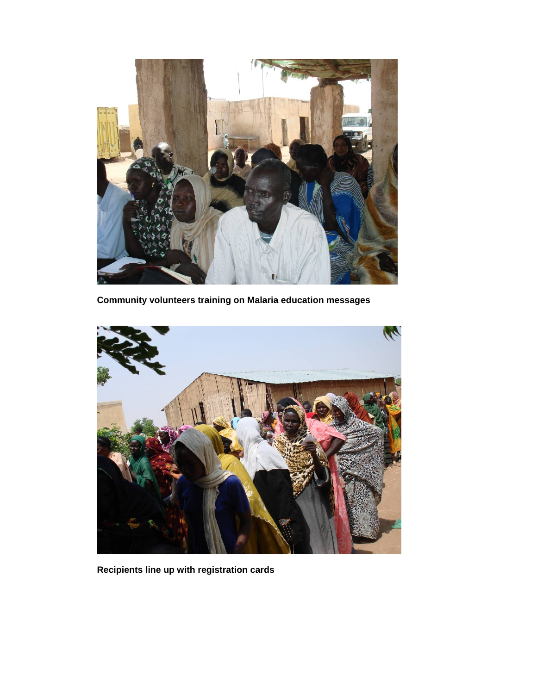

**Community volunteers training on Malaria education messages** 



**Recipients line up with registration cards**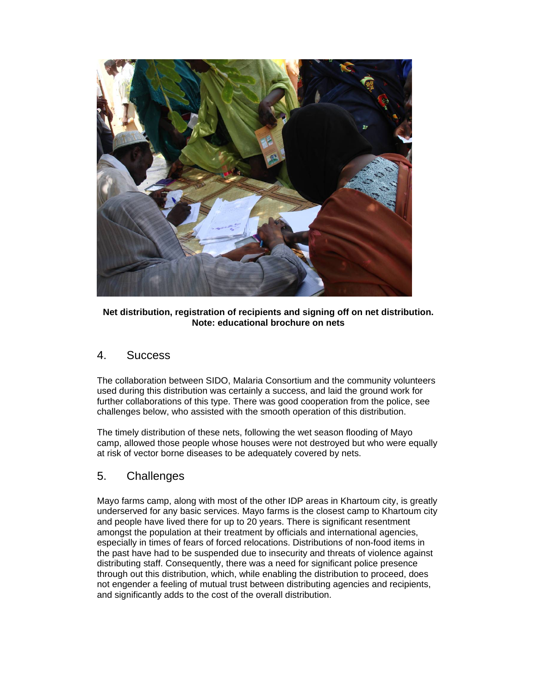

**Net distribution, registration of recipients and signing off on net distribution. Note: educational brochure on nets** 

## 4. Success

The collaboration between SIDO, Malaria Consortium and the community volunteers used during this distribution was certainly a success, and laid the ground work for further collaborations of this type. There was good cooperation from the police, see challenges below, who assisted with the smooth operation of this distribution.

The timely distribution of these nets, following the wet season flooding of Mayo camp, allowed those people whose houses were not destroyed but who were equally at risk of vector borne diseases to be adequately covered by nets.

## 5. Challenges

Mayo farms camp, along with most of the other IDP areas in Khartoum city, is greatly underserved for any basic services. Mayo farms is the closest camp to Khartoum city and people have lived there for up to 20 years. There is significant resentment amongst the population at their treatment by officials and international agencies, especially in times of fears of forced relocations. Distributions of non-food items in the past have had to be suspended due to insecurity and threats of violence against distributing staff. Consequently, there was a need for significant police presence through out this distribution, which, while enabling the distribution to proceed, does not engender a feeling of mutual trust between distributing agencies and recipients, and significantly adds to the cost of the overall distribution.